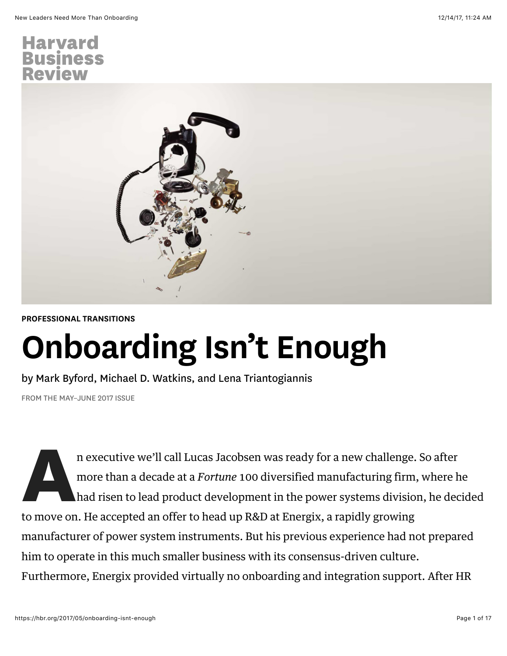

#### [PROFESSIONAL TRANSITIONS](https://hbr.org/topic/professional-transitions)

# Onboarding Isn't Enough

by [Mark Byford](https://hbr.org/search?term=mark+byford), [Michael D. Watkins](https://hbr.org/search?term=michael+d.+watkins), and [Lena Triantogiannis](https://hbr.org/search?term=lena+triantogiannis)

FROM THE MAY–JUNE 2017 ISSUE

n executive we'll call Lucas Jacobsen was ready for a new challenge. So after<br>more than a decade at a *Fortune* 100 diversified manufacturing firm, where l<br>had risen to lead product development in the power systems divisio more than a decade at a *Fortune* 100 diversified manufacturing firm, where he had risen to lead product development in the power systems division, he decided to move on. He accepted an offer to head up R&D at Energix, a rapidly growing manufacturer of power system instruments. But his previous experience had not prepared him to operate in this much smaller business with its consensus-driven culture. Furthermore, Energix provided virtually no onboarding and integration support. After HR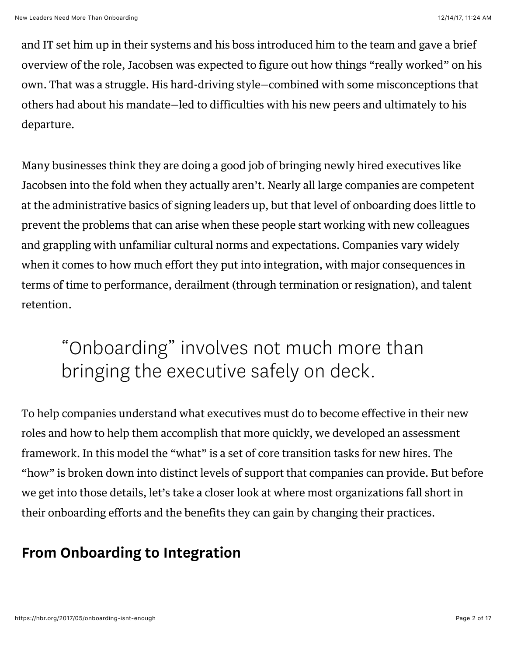and IT set him up in their systems and his boss introduced him to the team and gave a brief overview of the role, Jacobsen was expected to figure out how things "really worked" on his own. That was a struggle. His hard-driving style—combined with some misconceptions that others had about his mandate—led to difficulties with his new peers and ultimately to his departure.

Many businesses think they are doing a good job of bringing newly hired executives like Jacobsen into the fold when they actually aren't. Nearly all large companies are competent at the administrative basics of signing leaders up, but that level of onboarding does little to prevent the problems that can arise when these people start working with new colleagues and grappling with unfamiliar cultural norms and expectations. Companies vary widely when it comes to how much effort they put into integration, with major consequences in terms of time to performance, derailment (through termination or resignation), and talent retention.

## "Onboarding" involves not much more than bringing the executive safely on deck.

To help companies understand what executives must do to become effective in their new roles and how to help them accomplish that more quickly, we developed an assessment framework. In this model the "what" is a set of core transition tasks for new hires. The "how" is broken down into distinct levels of support that companies can provide. But before we get into those details, let's take a closer look at where most organizations fall short in their onboarding efforts and the benefits they can gain by changing their practices.

### From Onboarding to Integration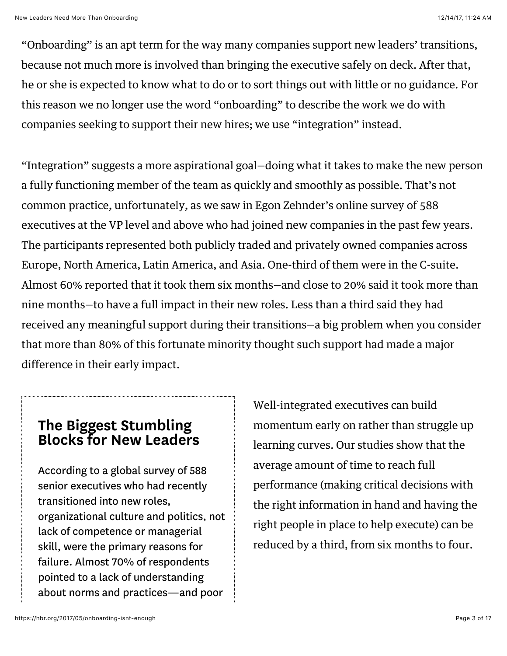"Onboarding" is an apt term for the way many companies support new leaders' transitions, because not much more is involved than bringing the executive safely on deck. After that, he or she is expected to know what to do or to sort things out with little or no guidance. For this reason we no longer use the word "onboarding" to describe the work we do with companies seeking to support their new hires; we use "integration" instead.

"Integration" suggests a more aspirational goal—doing what it takes to make the new person a fully functioning member of the team as quickly and smoothly as possible. That's not common practice, unfortunately, as we saw in Egon Zehnder's online survey of 588 executives at the VP level and above who had joined new companies in the past few years. The participants represented both publicly traded and privately owned companies across Europe, North America, Latin America, and Asia. One-third of them were in the C-suite. Almost 60% reported that it took them six months—and close to 20% said it took more than nine months—to have a full impact in their new roles. Less than a third said they had received any meaningful support during their transitions—a big problem when you consider that more than 80% of this fortunate minority thought such support had made a major difference in their early impact.

#### The Biggest Stumbling Blocks for New Leaders

According to a global survey of 588 senior executives who had recently transitioned into new roles, organizational culture and politics, not lack of competence or managerial skill, were the primary reasons for failure. Almost 70% of respondents pointed to a lack of understanding about norms and practices—and poor

Well-integrated executives can build momentum early on rather than struggle up learning curves. Our studies show that the average amount of time to reach full performance (making critical decisions with the right information in hand and having the right people in place to help execute) can be reduced by a third, from six months to four.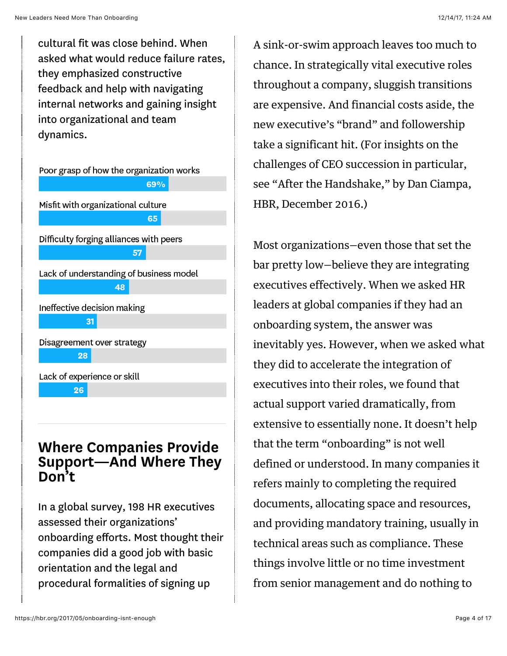cultural fit was close behind. When asked what would reduce failure rates, they emphasized constructive feedback and help with navigating internal networks and gaining insight into organizational and team dynamics.

Poor grasp of how the organization works 69% Misfit with organizational culture 65 Difficulty forging alliances with peers Lack of understanding of business model 48 Ineffective decision making 31 Disagreement over strategy 28 Lack of experience or skill 26

#### Where Companies Provide Support—And Where They Don't

In a global survey, 198 HR executives assessed their organizations' onboarding efforts. Most thought their companies did a good job with basic orientation and the legal and procedural formalities of signing up

A sink-or-swim approach leaves too much to chance. In strategically vital executive roles throughout a company, sluggish transitions are expensive. And financial costs aside, the new executive's "brand" and followership take a significant hit. (For insights on the challenges of CEO succession in particular, see ["After the Handshake,"](https://hbr.org/2016/12/after-the-handshake) by Dan Ciampa, HBR, December 2016.)

Most organizations—even those that set the bar pretty low—believe they are integrating executives effectively. When we asked HR leaders at global companies if they had an onboarding system, the answer was inevitably yes. However, when we asked what they did to accelerate the integration of executives into their roles, we found that actual support varied dramatically, from extensive to essentially none. It doesn't help that the term "onboarding" is not well defined or understood. In many companies it refers mainly to completing the required documents, allocating space and resources, and providing mandatory training, usually in technical areas such as compliance. These things involve little or no time investment from senior management and do nothing to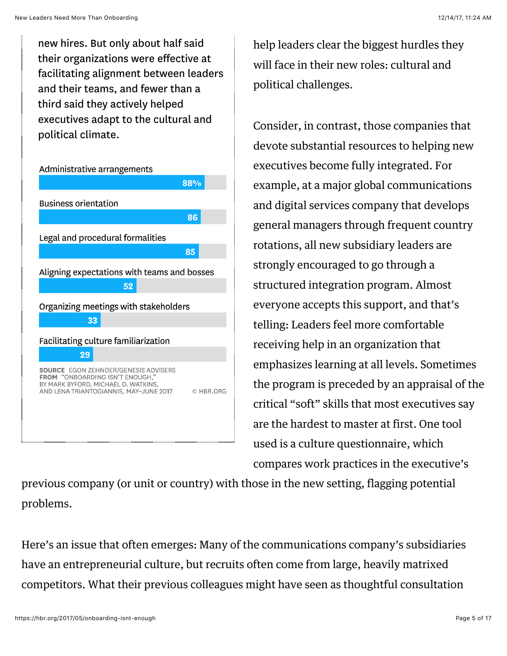new hires. But only about half said their organizations were effective at facilitating alignment between leaders and their teams, and fewer than a third said they actively helped executives adapt to the cultural and political climate.



help leaders clear the biggest hurdles they will face in their new roles: cultural and political challenges.

Consider, in contrast, those companies that devote substantial resources to helping new executives become fully integrated. For example, at a major global communications and digital services company that develops general managers through frequent country rotations, all new subsidiary leaders are strongly encouraged to go through a structured integration program. Almost everyone accepts this support, and that's telling: Leaders feel more comfortable receiving help in an organization that emphasizes learning at all levels. Sometimes the program is preceded by an appraisal of the critical "soft" skills that most executives say are the hardest to master at first. One tool used is a culture questionnaire, which compares work practices in the executive's

previous company (or unit or country) with those in the new setting, flagging potential problems.

Here's an issue that often emerges: Many of the communications company's subsidiaries have an entrepreneurial culture, but recruits often come from large, heavily matrixed competitors. What their previous colleagues might have seen as thoughtful consultation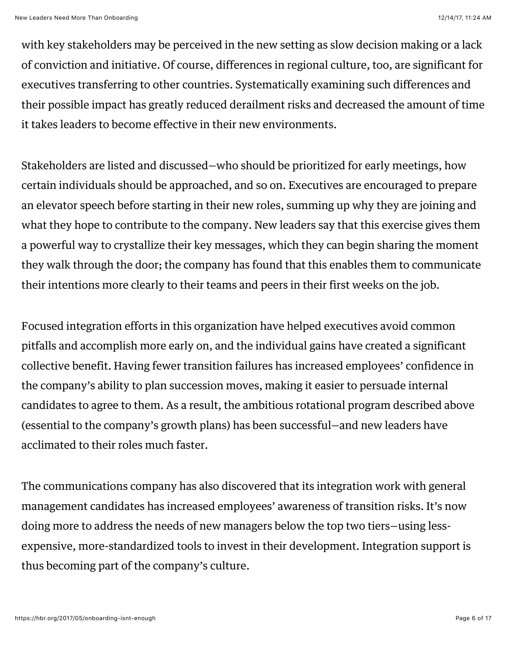with key stakeholders may be perceived in the new setting as slow decision making or a lack of conviction and initiative. Of course, differences in regional culture, too, are significant for executives transferring to other countries. Systematically examining such differences and their possible impact has greatly reduced derailment risks and decreased the amount of time it takes leaders to become effective in their new environments.

Stakeholders are listed and discussed—who should be prioritized for early meetings, how certain individuals should be approached, and so on. Executives are encouraged to prepare an elevator speech before starting in their new roles, summing up why they are joining and what they hope to contribute to the company. New leaders say that this exercise gives them a powerful way to crystallize their key messages, which they can begin sharing the moment they walk through the door; the company has found that this enables them to communicate their intentions more clearly to their teams and peers in their first weeks on the job.

Focused integration efforts in this organization have helped executives avoid common pitfalls and accomplish more early on, and the individual gains have created a significant collective benefit. Having fewer transition failures has increased employees' confidence in the company's ability to plan succession moves, making it easier to persuade internal candidates to agree to them. As a result, the ambitious rotational program described above (essential to the company's growth plans) has been successful—and new leaders have acclimated to their roles much faster.

The communications company has also discovered that its integration work with general management candidates has increased employees' awareness of transition risks. It's now doing more to address the needs of new managers below the top two tiers—using lessexpensive, more-standardized tools to invest in their development. Integration support is thus becoming part of the company's culture.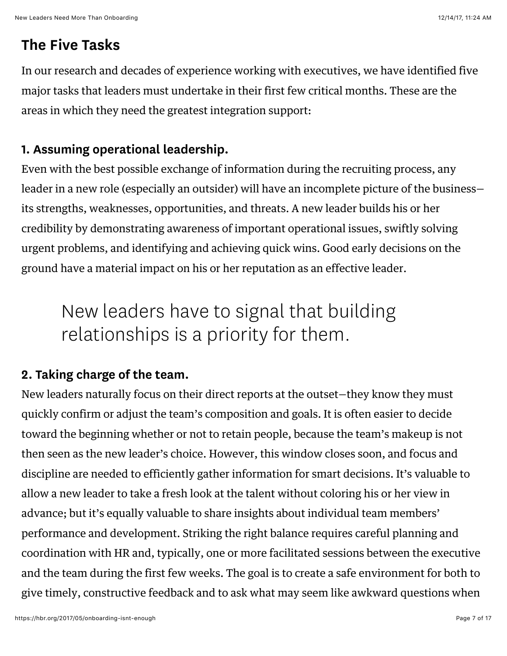#### The Five Tasks

In our research and decades of experience working with executives, we have identified five major tasks that leaders must undertake in their first few critical months. These are the areas in which they need the greatest integration support:

#### 1. Assuming operational leadership.

Even with the best possible exchange of information during the recruiting process, any leader in a new role (especially an outsider) will have an incomplete picture of the business its strengths, weaknesses, opportunities, and threats. A new leader builds his or her credibility by demonstrating awareness of important operational issues, swiftly solving urgent problems, and identifying and achieving quick wins. Good early decisions on the ground have a material impact on his or her reputation as an effective leader.

## New leaders have to signal that building relationships is a priority for them.

#### 2. Taking charge of the team.

New leaders naturally focus on their direct reports at the outset—they know they must quickly [confirm or adjust the team's composition and goals.](https://hbr.org/2016/06/leading-the-team-you-inherit) It is often easier to decide toward the beginning whether or not to retain people, because the team's makeup is not then seen as the new leader's choice. However, this window closes soon, and focus and discipline are needed to efficiently gather information for smart decisions. It's valuable to allow a new leader to take a fresh look at the talent without coloring his or her view in advance; but it's equally valuable to share insights about individual team members' performance and development. Striking the right balance requires careful planning and coordination with HR and, typically, one or more facilitated sessions between the executive and the team during the first few weeks. The goal is to create a safe environment for both to give timely, constructive feedback and to ask what may seem like awkward questions when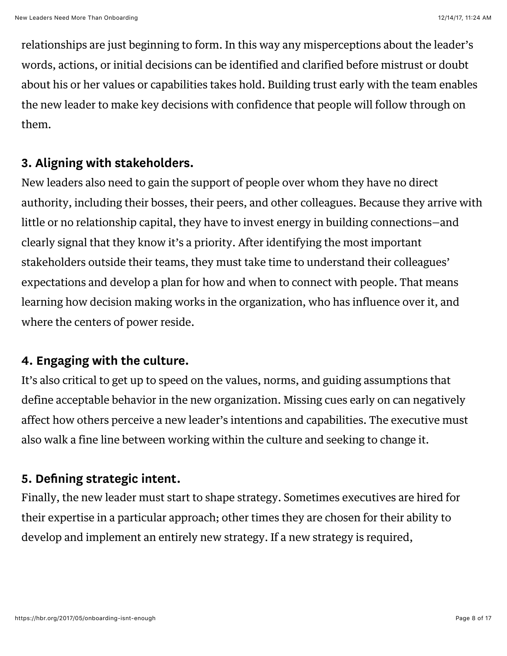relationships are just beginning to form. In this way any misperceptions about the leader's words, actions, or initial decisions can be identified and clarified before mistrust or doubt about his or her values or capabilities takes hold. Building trust early with the team enables the new leader to make key decisions with confidence that people will follow through on them.

#### 3. Aligning with stakeholders.

New leaders also need to gain the support of people over whom they have no direct authority, including their bosses, their peers, and other colleagues. Because they arrive with little or no relationship capital, they have to invest energy in building connections—and clearly signal that they know it's a priority. After identifying the most important stakeholders outside their teams, they must take time to understand their colleagues' expectations and develop a plan for how and when to connect with people. That means learning how decision making works in the organization, who has influence over it, and where the centers of power reside.

#### 4. Engaging with the culture.

It's also critical to get up to speed on the values, norms, and guiding assumptions that define acceptable behavior in the new organization. Missing cues early on can negatively affect how others perceive a new leader's intentions and capabilities. The executive must also walk a fine line between working within the culture and seeking to change it.

#### 5. Defining strategic intent.

Finally, the new leader must start to shape strategy. Sometimes executives are hired for their expertise in a particular approach; other times they are chosen for their ability to develop and implement an entirely new strategy. If a new strategy is required,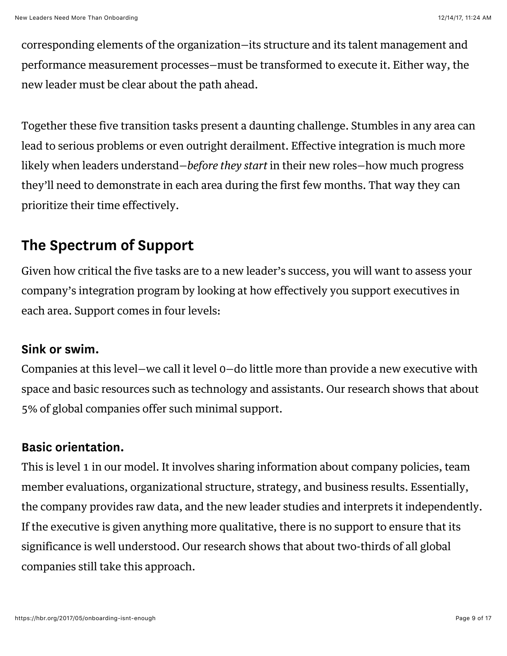corresponding elements of the organization—its structure and its talent management and performance measurement processes—must be transformed to execute it. Either way, the new leader must be clear about the path ahead.

Together these five transition tasks present a daunting challenge. Stumbles in any area can lead to serious problems or even outright derailment. Effective integration is much more likely when leaders understand—*before they start* in their new roles—how much progress they'll need to demonstrate in each area during the first few months. That way they can prioritize their time effectively.

#### The Spectrum of Support

Given how critical the five tasks are to a new leader's success, you will want to assess your company's integration program by looking at how effectively you support executives in each area. Support comes in four levels:

#### Sink or swim.

Companies at this level—we call it level 0—do little more than provide a new executive with space and basic resources such as technology and assistants. Our research shows that about 5% of global companies offer such minimal support.

#### Basic orientation.

This is level 1 in our model. It involves sharing information about company policies, team member evaluations, organizational structure, strategy, and business results. Essentially, the company provides raw data, and the new leader studies and interprets it independently. If the executive is given anything more qualitative, there is no support to ensure that its significance is well understood. Our research shows that about two-thirds of all global companies still take this approach.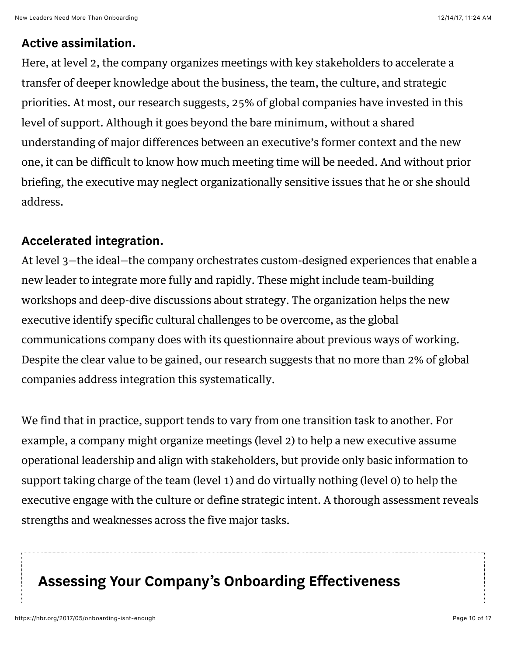#### Active assimilation.

Here, at level 2, the company organizes meetings with key stakeholders to accelerate a transfer of deeper knowledge about the business, the team, the culture, and strategic priorities. At most, our research suggests, 25% of global companies have invested in this level of support. Although it goes beyond the bare minimum, without a shared understanding of major differences between an executive's former context and the new one, it can be difficult to know how much meeting time will be needed. And without prior briefing, the executive may neglect organizationally sensitive issues that he or she should address.

#### Accelerated integration.

At level 3—the ideal—the company orchestrates custom-designed experiences that enable a new leader to integrate more fully and rapidly. These might include team-building workshops and deep-dive discussions about strategy. The organization helps the new executive identify specific cultural challenges to be overcome, as the global communications company does with its questionnaire about previous ways of working. Despite the clear value to be gained, our research suggests that no more than 2% of global companies address integration this systematically.

We find that in practice, support tends to vary from one transition task to another. For example, a company might organize meetings (level 2) to help a new executive assume operational leadership and align with stakeholders, but provide only basic information to support taking charge of the team (level 1) and do virtually nothing (level 0) to help the executive engage with the culture or define strategic intent. A thorough assessment reveals strengths and weaknesses across the five major tasks.

### Assessing Your Company's Onboarding Effectiveness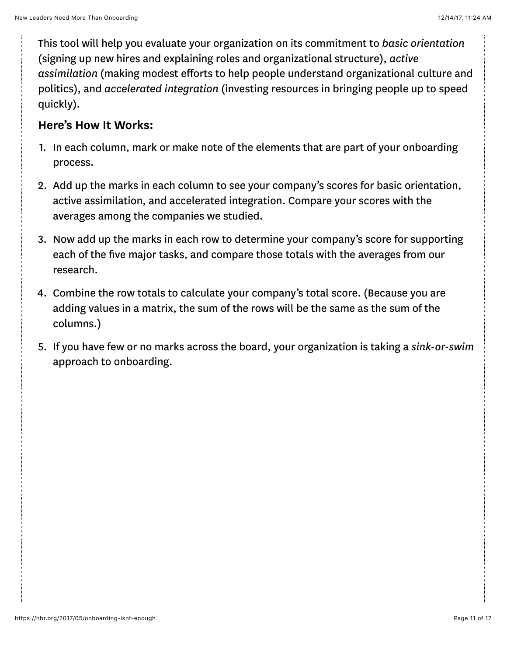This tool will help you evaluate your organization on its commitment to basic orientation (signing up new hires and explaining roles and organizational structure), active assimilation (making modest efforts to help people understand organizational culture and politics), and accelerated integration (investing resources in bringing people up to speed quickly).

#### Here's How It Works:

- 1. In each column, mark or make note of the elements that are part of your onboarding process.
- 2. Add up the marks in each column to see your company's scores for basic orientation, active assimilation, and accelerated integration. Compare your scores with the averages among the companies we studied.
- 3. Now add up the marks in each row to determine your company's score for supporting each of the five major tasks, and compare those totals with the averages from our research.
- 4. Combine the row totals to calculate your company's total score. (Because you are adding values in a matrix, the sum of the rows will be the same as the sum of the columns.)
- 5. If you have few or no marks across the board, your organization is taking a sink-or-swim approach to onboarding.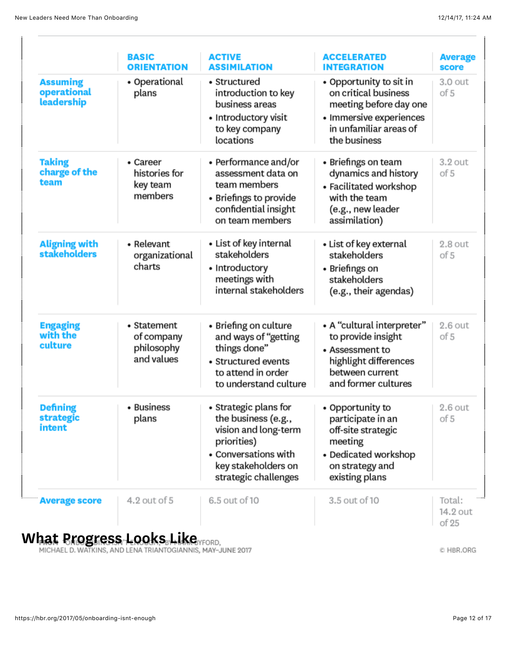|                                              | <b>BASIC</b><br><b>ORIENTATION</b>                    | <b>ACTIVE</b><br><b>ASSIMILATION</b>                                                                                                                       | <b>ACCELERATED</b><br><b>INTEGRATION</b>                                                                                                       | <b>Average</b><br>score     |
|----------------------------------------------|-------------------------------------------------------|------------------------------------------------------------------------------------------------------------------------------------------------------------|------------------------------------------------------------------------------------------------------------------------------------------------|-----------------------------|
| <b>Assuming</b><br>operational<br>leadership | • Operational<br>plans                                | • Structured<br>introduction to key<br>business areas<br>• Introductory visit<br>to key company<br>locations                                               | • Opportunity to sit in<br>on critical business<br>meeting before day one<br>• Immersive experiences<br>in unfamiliar areas of<br>the business | 3.0 out<br>of 5             |
| <b>Taking</b><br>charge of the<br>team       | • Career<br>histories for<br>key team<br>members      | $\bullet$ Performance and/or<br>assessment data on<br>team members<br>• Briefings to provide<br>confidential insight<br>on team members                    | • Briefings on team<br>dynamics and history<br>• Facilitated workshop<br>with the team<br>(e.g., new leader<br>assimilation)                   | $3.2$ out<br>of 5           |
| <b>Aligning with</b><br><b>stakeholders</b>  | • Relevant<br>organizational<br>charts                | • List of key internal<br>stakeholders<br>• Introductory<br>meetings with<br>internal stakeholders                                                         | • List of key external<br>stakeholders<br>• Briefings on<br>stakeholders<br>(e.g., their agendas)                                              | $2.8$ out<br>of 5           |
| <b>Engaging<br/>with the</b><br>culture      | • Statement<br>of company<br>philosophy<br>and values | • Briefing on culture<br>and ways of "getting<br>things done"<br>• Structured events<br>to attend in order<br>to understand culture                        | • A "cultural interpreter"<br>to provide insight<br>• Assessment to<br>highlight differences<br>between current<br>and former cultures         | $2.6$ out<br>of 5           |
| <b>Defining</b><br>strategic<br>intent       | • Business<br>plans                                   | • Strategic plans for<br>the business (e.g.,<br>vision and long-term<br>priorities)<br>• Conversations with<br>key stakeholders on<br>strategic challenges | • Opportunity to<br>participate in an<br>off-site strategic<br>meeting<br>• Dedicated workshop<br>on strategy and<br>existing plans            | 2.6 out<br>of 5             |
| <b>Average score</b>                         | 4.2 out of 5                                          | 6.5 out of 10                                                                                                                                              | 3.5 out of 10                                                                                                                                  | Total:<br>14.2 out<br>of 25 |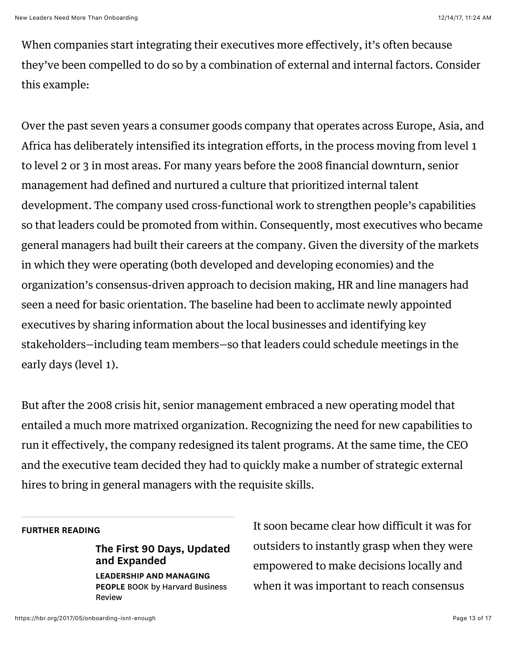When companies start integrating their executives more effectively, it's often because they've been compelled to do so by a combination of external and internal factors. Consider this example:

Over the past seven years a consumer goods company that operates across Europe, Asia, and Africa has deliberately intensified its integration efforts, in the process moving from level 1 to level 2 or 3 in most areas. For many years before the 2008 financial downturn, senior management had defined and nurtured a culture that prioritized internal talent development. The company used cross-functional work to strengthen people's capabilities so that leaders could be promoted from within. Consequently, most executives who became general managers had built their careers at the company. Given the diversity of the markets in which they were operating (both developed and developing economies) and the organization's consensus-driven approach to decision making, HR and line managers had seen a need for basic orientation. The baseline had been to acclimate newly appointed executives by sharing information about the local businesses and identifying key stakeholders—including team members—so that leaders could schedule meetings in the early days (level 1).

But after the 2008 crisis hit, senior management embraced a new operating model that entailed a much more matrixed organization. Recognizing the need for new capabilities to run it effectively, the company redesigned its talent programs. At the same time, the CEO and the executive team decided they had to quickly make a number of strategic external hires to bring in general managers with the requisite skills.

#### FURTHER READING

[The First 90 Days, Updated](https://hbr.org/product/the-first-90-days-updated-and-expanded-proven-strategies-for-getting-up-to-speed-faster-and-smarter/11323E-KND-ENG?referral=02560) and Expanded LEADERSHIP AND MANAGING

PEOPLE BOOK by Harvard Business Review

It soon became clear how difficult it was for outsiders to instantly grasp when they were empowered to make decisions locally and when it was important to reach consensus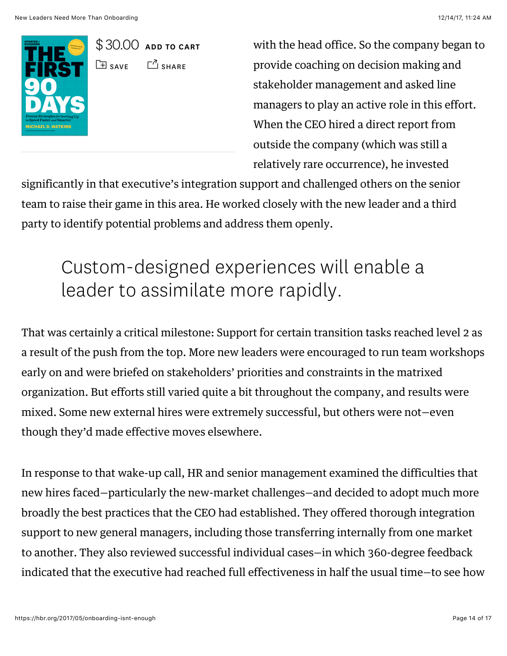

\$ 30.00 [ADD TO CART](https://hbr.org/2017/05/onboarding-isnt-enough#)  $\Box$  [SAVE](https://hbr.org/2017/05/onboarding-isnt-enough#)  $\Box$  [SHARE](https://hbr.org/2017/05/onboarding-isnt-enough#)

with the head office. So the company began to provide coaching on decision making and stakeholder management and asked line managers to play an active role in this effort. When the CEO hired a direct report from outside the company (which was still a relatively rare occurrence), he invested

significantly in that executive's integration support and challenged others on the senior team to raise their game in this area. He worked closely with the new leader and a third party to identify potential problems and address them openly.

## Custom-designed experiences will enable a leader to assimilate more rapidly.

That was certainly a critical milestone: Support for certain transition tasks reached level 2 as a result of the push from the top. More new leaders were encouraged to run team workshops early on and were briefed on stakeholders' priorities and constraints in the matrixed organization. But efforts still varied quite a bit throughout the company, and results were mixed. Some new external hires were extremely successful, but others were not—even though they'd made effective moves elsewhere.

In response to that wake-up call, HR and senior management examined the difficulties that new hires faced—particularly the new-market challenges—and decided to adopt much more broadly the best practices that the CEO had established. They offered thorough integration support to new general managers, including those transferring internally from one market to another. They also reviewed successful individual cases—in which 360-degree feedback indicated that the executive had reached full effectiveness in half the usual time—to see how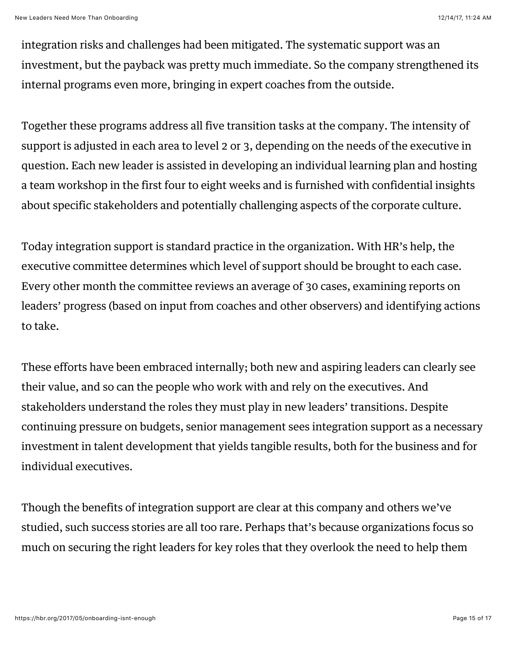integration risks and challenges had been mitigated. The systematic support was an investment, but the payback was pretty much immediate. So the company strengthened its internal programs even more, bringing in expert coaches from the outside.

Together these programs address all five transition tasks at the company. The intensity of support is adjusted in each area to level 2 or 3, depending on the needs of the executive in question. Each new leader is assisted in developing an individual learning plan and hosting a team workshop in the first four to eight weeks and is furnished with confidential insights about specific stakeholders and potentially challenging aspects of the corporate culture.

Today integration support is standard practice in the organization. With HR's help, the executive committee determines which level of support should be brought to each case. Every other month the committee reviews an average of 30 cases, examining reports on leaders' progress (based on input from coaches and other observers) and identifying actions to take.

These efforts have been embraced internally; both new and aspiring leaders can clearly see their value, and so can the people who work with and rely on the executives. And stakeholders understand the roles they must play in new leaders' transitions. Despite continuing pressure on budgets, senior management sees integration support as a necessary investment in talent development that yields tangible results, both for the business and for individual executives.

Though the benefits of integration support are clear at this company and others we've studied, such success stories are all too rare. Perhaps that's because organizations focus so much on securing the right leaders for key roles that they overlook the need to help them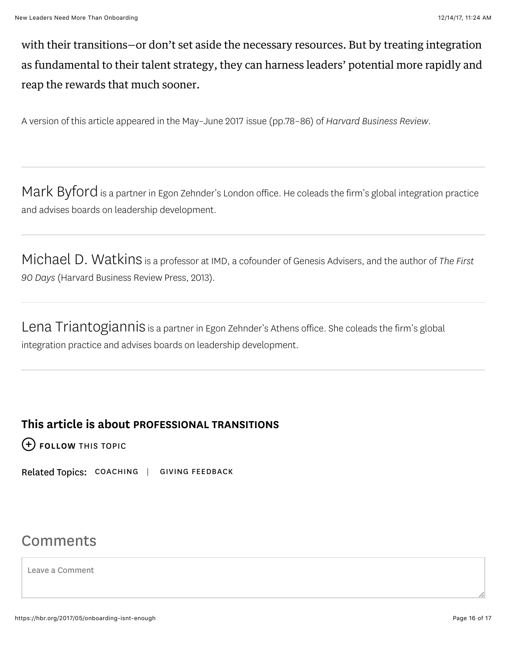with their transitions—or don't set aside the necessary resources. But by treating integration as fundamental to their talent strategy, they can harness leaders' potential more rapidly and reap the rewards that much sooner.

A version of this article appeared in the [May–June 2017](https://hbr.org/archive-toc/BR1703) issue (pp.78–86) of Harvard Business Review.

[Mark Byford](https://hbr.org/search?term=mark+byford) is a partner in Egon Zehnder's London office. He coleads the firm's global integration practice and advises boards on leadership development.

[Michael D. Watkins](https://hbr.org/search?term=michael+d.+watkins) [is a professor at](http://www.amazon.com/The-First-90-Days-Strategies/dp/1422188612) [IMD](http://www.imd.org/)[, a cofounder of](http://www.amazon.com/The-First-90-Days-Strategies/dp/1422188612) [Genesis Adviser](http://genesisadvisers.com/)[s, and the author of The First](http://www.amazon.com/The-First-90-Days-Strategies/dp/1422188612) 90 Days (Harvard Business Review Press, 2013).

[Lena Triantogiannis](https://hbr.org/search?term=lena+triantogiannis) is a partner in Egon Zehnder's Athens office. She coleads the firm's global integration practice and advises boards on leadership development.

#### This article is about [PROFESSIONAL TRANSITIONS](https://hbr.org/topic/professional-transitions)

[FOLLOW THIS TOPIC](https://hbr.org/2017/05/onboarding-isnt-enough#)

Related Topics: [COACHING](https://hbr.org/topic/coaching) | [GIVING FEEDBACK](https://hbr.org/topic/giving-feedback)

#### Comments

Leave a Comment